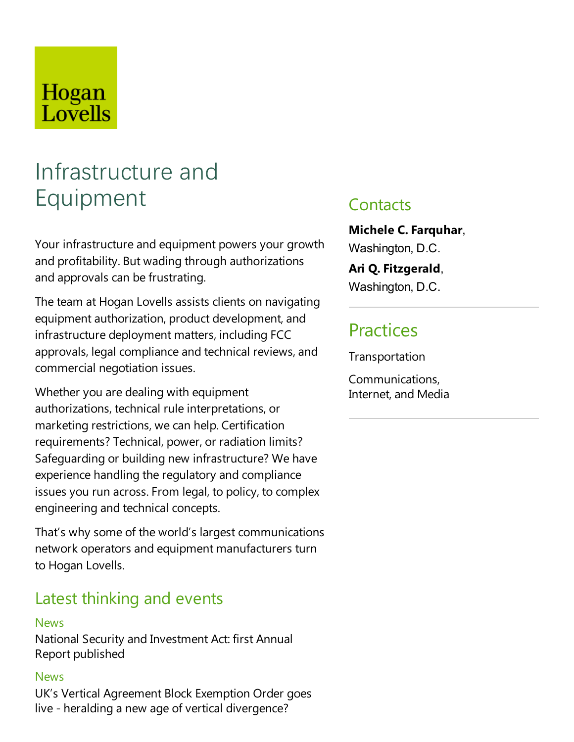## Hogan Lovells

# Infrastructure and Equipment

Your infrastructure and equipment powers your growth and profitability. But wading through authorizations and approvals can be frustrating.

The team at Hogan Lovells assists clients on navigating equipment authorization, product development, and infrastructure deployment matters, including FCC approvals, legal compliance and technical reviews, and commercial negotiation issues.

Whether you are dealing with equipment authorizations, technical rule interpretations, or marketing restrictions, wecan help. Certification requirements?Technical, power, or radiation limits? Safeguarding or building new infrastructure? We have experience handling the regulatory and compliance issues you run across. From legal, to policy, to complex engineering and technical concepts.

That's why some of the world's largest communications network operators and equipment manufacturers turn to Hogan Lovells.

### Latest thinking and events

#### **News**

National Security and Investment Act: first Annual Report published

#### News

UK's Vertical Agreement Block Exemption Order goes live- heralding a new age of vertical divergence?

### **Contacts**

**Michele C.Farquhar**, Washington, D.C.

**Ari Q.Fitzgerald**,

Washington, D.C.

### **Practices**

**Transportation** 

Communications, Internet, and Media